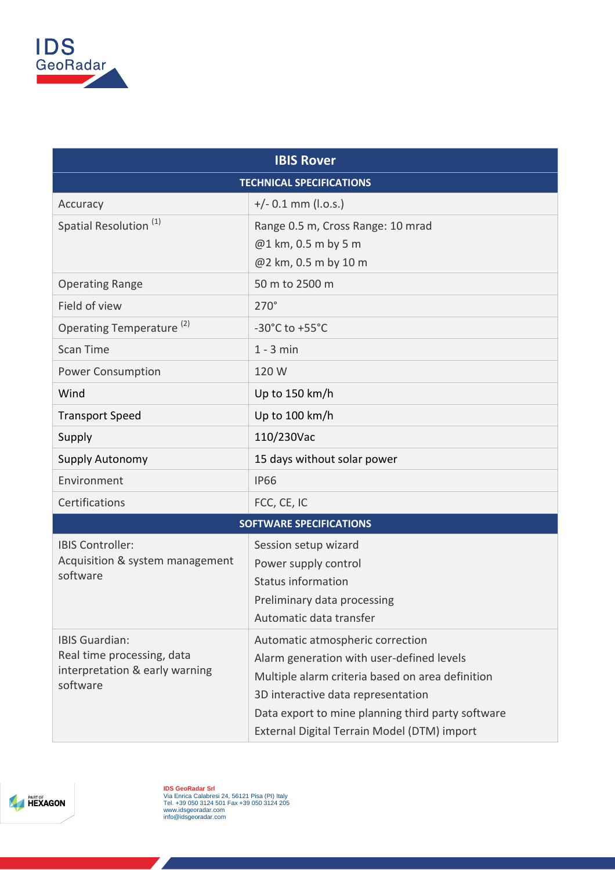

| <b>IBIS Rover</b>                                                                                 |                                                   |  |
|---------------------------------------------------------------------------------------------------|---------------------------------------------------|--|
| <b>TECHNICAL SPECIFICATIONS</b>                                                                   |                                                   |  |
| Accuracy                                                                                          | $+/- 0.1$ mm (l.o.s.)                             |  |
| Spatial Resolution <sup>(1)</sup>                                                                 | Range 0.5 m, Cross Range: 10 mrad                 |  |
|                                                                                                   | @1 km, 0.5 m by 5 m                               |  |
|                                                                                                   | @2 km, 0.5 m by 10 m                              |  |
| <b>Operating Range</b>                                                                            | 50 m to 2500 m                                    |  |
| Field of view                                                                                     | $270^\circ$                                       |  |
| Operating Temperature <sup>(2)</sup>                                                              | -30 $^{\circ}$ C to +55 $^{\circ}$ C              |  |
| <b>Scan Time</b>                                                                                  | $1 - 3$ min                                       |  |
| <b>Power Consumption</b>                                                                          | 120 W                                             |  |
| Wind                                                                                              | Up to 150 km/h                                    |  |
| <b>Transport Speed</b>                                                                            | Up to 100 km/h                                    |  |
| Supply                                                                                            | 110/230Vac                                        |  |
| Supply Autonomy                                                                                   | 15 days without solar power                       |  |
| Environment                                                                                       | <b>IP66</b>                                       |  |
| Certifications                                                                                    | FCC, CE, IC                                       |  |
| <b>SOFTWARE SPECIFICATIONS</b>                                                                    |                                                   |  |
| <b>IBIS Controller:</b><br>Acquisition & system management<br>software                            | Session setup wizard                              |  |
|                                                                                                   | Power supply control                              |  |
|                                                                                                   | <b>Status information</b>                         |  |
|                                                                                                   | Preliminary data processing                       |  |
|                                                                                                   | Automatic data transfer                           |  |
| <b>IBIS Guardian:</b><br>Real time processing, data<br>interpretation & early warning<br>software | Automatic atmospheric correction                  |  |
|                                                                                                   | Alarm generation with user-defined levels         |  |
|                                                                                                   | Multiple alarm criteria based on area definition  |  |
|                                                                                                   | 3D interactive data representation                |  |
|                                                                                                   | Data export to mine planning third party software |  |
|                                                                                                   | External Digital Terrain Model (DTM) import       |  |



**IDS GeoRadar Srl**<br>Via Enrica Calabresi 24, 56121 Pisa (PI) Italy<br>Tel. +39 050 3124 501 Fax +39 050 3124 205<br>www.idsgeoradar.com<br>info@idsgeoradar.com

**Alexander Service**